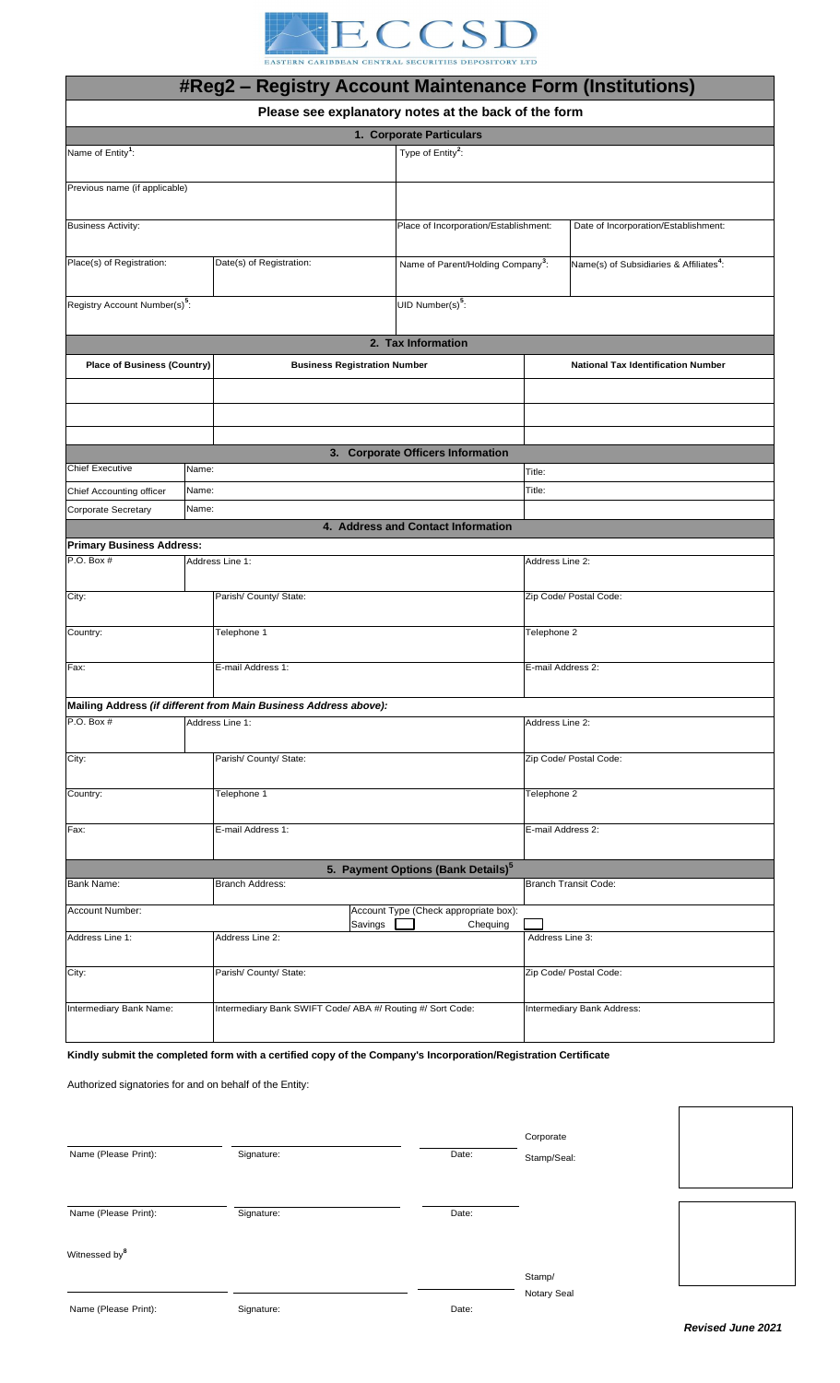

|                                           |                | EASTERN CARIBBEAN CENTRAL SECURITIES DEPOSITORY LTD              |  |                                                                               |                                           |                             |                                                     |  |
|-------------------------------------------|----------------|------------------------------------------------------------------|--|-------------------------------------------------------------------------------|-------------------------------------------|-----------------------------|-----------------------------------------------------|--|
|                                           |                | <b>#Reg2 - Registry Account Maintenance Form (Institutions)</b>  |  |                                                                               |                                           |                             |                                                     |  |
|                                           |                | Please see explanatory notes at the back of the form             |  |                                                                               |                                           |                             |                                                     |  |
|                                           |                |                                                                  |  | 1. Corporate Particulars                                                      |                                           |                             |                                                     |  |
| Name of Entity <sup>1</sup> :             |                |                                                                  |  | Type of Entity <sup>2</sup> :                                                 |                                           |                             |                                                     |  |
| Previous name (if applicable)             |                |                                                                  |  |                                                                               |                                           |                             |                                                     |  |
|                                           |                |                                                                  |  | Place of Incorporation/Establishment:<br>Date of Incorporation/Establishment: |                                           |                             |                                                     |  |
| <b>Business Activity:</b>                 |                |                                                                  |  |                                                                               |                                           |                             |                                                     |  |
| Place(s) of Registration:                 |                | Date(s) of Registration:                                         |  | Name of Parent/Holding Company <sup>3</sup> :                                 |                                           |                             | Name(s) of Subsidiaries & Affiliates <sup>4</sup> : |  |
| Registry Account Number(s) <sup>5</sup> : |                |                                                                  |  | UID Number(s) $5$ :                                                           |                                           |                             |                                                     |  |
|                                           |                |                                                                  |  | 2. Tax Information                                                            |                                           |                             |                                                     |  |
| <b>Place of Business (Country)</b>        |                | <b>Business Registration Number</b>                              |  |                                                                               | <b>National Tax Identification Number</b> |                             |                                                     |  |
|                                           |                |                                                                  |  |                                                                               |                                           |                             |                                                     |  |
|                                           |                |                                                                  |  |                                                                               |                                           |                             |                                                     |  |
|                                           |                |                                                                  |  |                                                                               |                                           |                             |                                                     |  |
|                                           |                |                                                                  |  | 3. Corporate Officers Information                                             |                                           |                             |                                                     |  |
| <b>Chief Executive</b>                    | Name:          |                                                                  |  |                                                                               | Title:                                    |                             |                                                     |  |
| Chief Accounting officer                  | Name:<br>Name: |                                                                  |  |                                                                               |                                           | Title:                      |                                                     |  |
| Corporate Secretary                       |                |                                                                  |  | 4. Address and Contact Information                                            |                                           |                             |                                                     |  |
| <b>Primary Business Address:</b>          |                |                                                                  |  |                                                                               |                                           |                             |                                                     |  |
| $P.O.$ Box $#$                            |                | Address Line 1:                                                  |  |                                                                               |                                           | Address Line 2:             |                                                     |  |
| City:                                     |                | Parish/ County/ State:                                           |  |                                                                               | Zip Code/ Postal Code:                    |                             |                                                     |  |
| Country:                                  |                | Telephone 1                                                      |  |                                                                               | Telephone 2                               |                             |                                                     |  |
| Fax:                                      |                | E-mail Address 1:                                                |  |                                                                               |                                           | E-mail Address 2:           |                                                     |  |
|                                           |                | Mailing Address (if different from Main Business Address above): |  |                                                                               |                                           |                             |                                                     |  |
| P.O. Box #                                |                | Address Line 1:                                                  |  |                                                                               | Address Line 2:                           |                             |                                                     |  |
|                                           |                | Parish/ County/ State:                                           |  |                                                                               | Zip Code/ Postal Code:                    |                             |                                                     |  |
| City:                                     |                |                                                                  |  |                                                                               |                                           |                             |                                                     |  |
| Country:                                  |                | Telephone 1                                                      |  |                                                                               | Telephone 2                               |                             |                                                     |  |
| Fax:                                      |                | E-mail Address 1:                                                |  |                                                                               | E-mail Address 2:                         |                             |                                                     |  |
|                                           |                |                                                                  |  | 5. Payment Options (Bank Details) <sup>5</sup>                                |                                           |                             |                                                     |  |
| <b>Branch Address:</b><br>Bank Name:      |                |                                                                  |  |                                                                               |                                           | <b>Branch Transit Code:</b> |                                                     |  |
| Account Number:                           |                |                                                                  |  | Account Type (Check appropriate box):                                         |                                           |                             |                                                     |  |
| Address Line 1:                           |                | Savings<br>Chequing<br>Address Line 2:                           |  |                                                                               | Address Line 3:                           |                             |                                                     |  |
| City:                                     |                | Parish/ County/ State:                                           |  |                                                                               | Zip Code/ Postal Code:                    |                             |                                                     |  |
| Intermediary Bank Name:                   |                | Intermediary Bank SWIFT Code/ ABA #/ Routing #/ Sort Code:       |  |                                                                               | Intermediary Bank Address:                |                             |                                                     |  |

**Kindly submit the completed form with a certified copy of the Company's Incorporation/Registration Certificate**

Authorized signatories for and on behalf of the Entity:

| Name (Please Print):      | Signature: | Corporate<br>Date:<br>Stamp/Seal: |  |
|---------------------------|------------|-----------------------------------|--|
| Name (Please Print):      | Signature: | Date:                             |  |
| Witnessed by <sup>8</sup> |            |                                   |  |
|                           |            | Stamp/                            |  |
|                           |            | Notary Seal                       |  |
| Name (Please Print):      | Signature: | Date:                             |  |

 $\overline{\phantom{a}}$ 

 $\mathsf{r}$